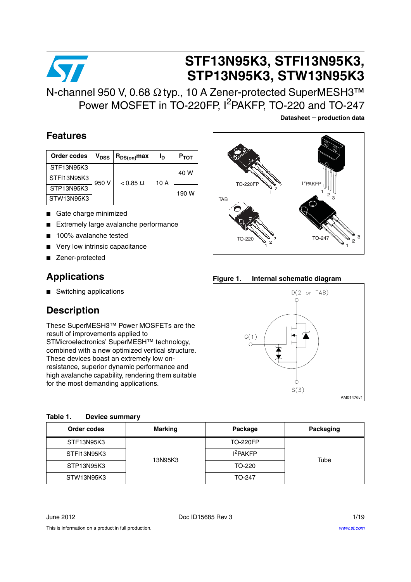## **STF13N95K3, STFI13N95K3, STP13N95K3, STW13N95K3** N-channel 950 V, 0.68 Ω typ., 10 A Zener-protected SuperMESH3™ Power MOSFET in TO-220FP, I<sup>2</sup>PAKFP, TO-220 and TO-247

### **Features**

| Order codes | $V_{\rm DSS}$ | $R_{DS(on)}$ max       | Ιŋ | $P_{TOT}$ |
|-------------|---------------|------------------------|----|-----------|
| STF13N95K3  |               |                        |    | 40 W      |
| STFI13N95K3 | 950 V         | 10A<br>$< 0.85 \Omega$ |    |           |
| STP13N95K3  |               |                        |    | 190 W     |
| STW13N95K3  |               |                        |    |           |

- Gate charge minimized
- Extremely large avalanche performance
- 100% avalanche tested
- Very low intrinsic capacitance
- Zener-protected

### **Applications**

■ Switching applications

### **Description**

These SuperMESH3™ Power MOSFETs are the result of improvements applied to STMicroelectronics' SuperMESH™ technology, combined with a new optimized vertical structure. These devices boast an extremely low onresistance, superior dynamic performance and high avalanche capability, rendering them suitable for the most demanding applications.

| <b>TO-220FP</b>  | $I^2$ PAKFP<br>$2_{3}$ |
|------------------|------------------------|
| TAB              |                        |
|                  | з                      |
| TO-220<br>з<br>2 | TO-247<br>2            |
|                  |                        |

**Datasheet** − **production data**

**Figure 1. Internal schematic diagram**



<span id="page-0-0"></span>

| Table 1. | Device summary |
|----------|----------------|
|          |                |

| Order codes | <b>Marking</b> | Package              | Packaging |
|-------------|----------------|----------------------|-----------|
| STF13N95K3  |                | <b>TO-220FP</b>      |           |
| STFI13N95K3 |                | I <sup>2</sup> PAKFP |           |
| STP13N95K3  | 13N95K3        | TO-220               | Tube      |
| STW13N95K3  |                | TO-247               |           |

June 2012 Doc ID15685 Rev 3 1/19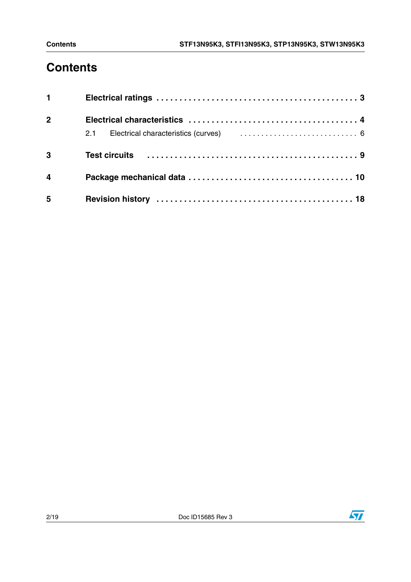# **Contents**

| $1 \quad \blacksquare$ |  |
|------------------------|--|
| $\overline{2}$         |  |
|                        |  |
| 3                      |  |
| $\overline{4}$         |  |
| 5                      |  |

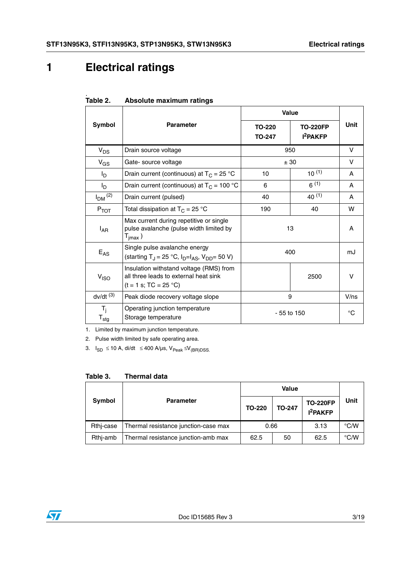## <span id="page-2-0"></span>**1 Electrical ratings**

|                           |                                                                                                                      | Value                   |                                              |      |
|---------------------------|----------------------------------------------------------------------------------------------------------------------|-------------------------|----------------------------------------------|------|
| Symbol                    | <b>Parameter</b>                                                                                                     | TO-220<br><b>TO-247</b> | <b>TO-220FP</b><br><b>I<sup>2</sup>PAKFP</b> | Unit |
| $V_{DS}$                  | Drain source voltage                                                                                                 |                         | 950                                          | v    |
| $V_{GS}$                  | Gate-source voltage                                                                                                  |                         | ± 30                                         | v    |
| l <sub>D</sub>            | Drain current (continuous) at $T_C = 25$ °C                                                                          | 10                      | $10^{(1)}$                                   | A    |
| Iр                        | Drain current (continuous) at $T_C = 100 °C$                                                                         | 6                       | $6^{(1)}$                                    | A    |
| $I_{DM}$ <sup>(2)</sup>   | Drain current (pulsed)                                                                                               | 40                      | $40^{(1)}$                                   | A    |
| $P_{TOT}$                 | Total dissipation at $T_C = 25 °C$                                                                                   | 190                     | 40                                           | w    |
| $I_{AR}$                  | Max current during repetitive or single<br>pulse avalanche (pulse width limited by<br>$\mathsf{T}_{\mathsf{imax}}$ ) | 13                      |                                              | A    |
| $E_{AS}$                  | Single pulse avalanche energy<br>(starting T <sub>J</sub> = 25 °C, $I_{D} = I_{AS}$ , $V_{DD} = 50 V$ )              | 400                     |                                              | mJ   |
| V <sub>ISO</sub>          | Insulation withstand voltage (RMS) from<br>all three leads to external heat sink<br>$(t = 1 s; TC = 25 °C)$          | 2500                    |                                              | v    |
| $dv/dt$ <sup>(3)</sup>    | Peak diode recovery voltage slope                                                                                    | 9                       |                                              | V/ns |
| $T_i$<br>$T_{\text{stg}}$ | Operating junction temperature<br>Storage temperature                                                                | - 55 to 150             |                                              | °C   |

#### <span id="page-2-1"></span>Table 2. **Absolute maximum ratings**

1. Limited by maximum junction temperature.

2. Pulse width limited by safe operating area.

3.  $I_{SD}$  ≤ 10 A, di/dt ≤ 400 A/µs, V<sub>Peak</sub> ≤V<sub>(BR)</sub>pss.

#### <span id="page-2-2"></span>**Table 3. Thermal data**

| Symbol    | <b>Parameter</b>                     | <b>TO-220</b> | <b>TO-247</b> | <b>TO-220FP</b><br><b>I<sup>2</sup>PAKFP</b> | <b>Unit</b> |  |
|-----------|--------------------------------------|---------------|---------------|----------------------------------------------|-------------|--|
| Rthj-case | Thermal resistance junction-case max | 0.66          |               | 3.13                                         | °C/W        |  |
| Rthi-amb  | Thermal resistance junction-amb max  | 62.5          | 50            | 62.5                                         | °C/W        |  |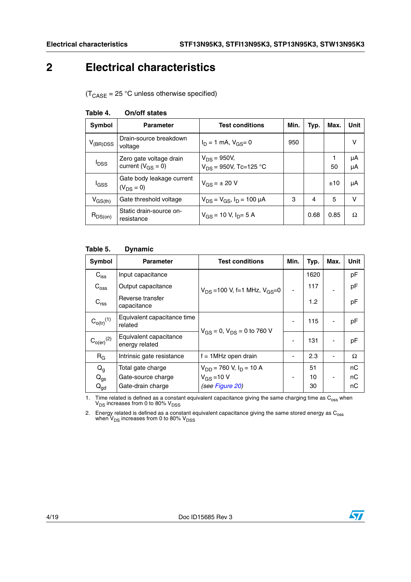### <span id="page-3-0"></span>**2 Electrical characteristics**

 $(T_{\text{CASE}} = 25 \text{ °C}$  unless otherwise specified)

| Symbol                  | <b>Parameter</b>                                    | <b>Test conditions</b>                         | Min. | Typ. | Max. | Unit     |
|-------------------------|-----------------------------------------------------|------------------------------------------------|------|------|------|----------|
| $V_{(BR)DSS}$           | Drain-source breakdown<br>voltage                   | $I_D = 1$ mA, $V_{GS} = 0$                     | 950  |      |      | v        |
| <b>I</b> <sub>DSS</sub> | Zero gate voltage drain<br>current ( $V_{GS} = 0$ ) | $V_{DS}$ = 950V,<br>$V_{DS}$ = 950V, Tc=125 °C |      |      | 50   | μA<br>μA |
| l <sub>GSS</sub>        | Gate body leakage current<br>$(V_{DS} = 0)$         | $V_{GS} = \pm 20 V$                            |      |      | ±10  | μA       |
| $V_{GS(th)}$            | Gate threshold voltage                              | $V_{DS} = V_{GS}$ , $I_D = 100 \mu A$          | 3    | 4    | 5    | v        |
| $R_{DS(on)}$            | Static drain-source on-<br>resistance               | $V_{GS}$ = 10 V, $I_{D}$ = 5 A                 |      | 0.68 | 0.85 | Ω        |

#### **Table 4. On/off states**

#### **Table 5. Dynamic**

| Symbol                     | <b>Parameter</b>                         | <b>Test conditions</b>                 | Min. | Typ. | Max. | <b>Unit</b> |
|----------------------------|------------------------------------------|----------------------------------------|------|------|------|-------------|
| $C_{\text{iss}}$           | Input capacitance                        |                                        |      | 1620 |      | pF          |
| $C_{\text{oss}}$           | Output capacitance                       | $V_{DS}$ = 100 V, f=1 MHz, $V_{GS}$ =0 |      | 117  |      | pF          |
| $C_{\text{rss}}$           | Reverse transfer<br>capacitance          |                                        |      | 1.2  |      | pF          |
| $C_{o(tr)}^{(1)}$          | Equivalent capacitance time<br>related   | $V_{GS} = 0$ , $V_{DS} = 0$ to 760 V   | ٠    | 115  |      | pF          |
| $\mathrm{C_{o(er)}}^{(2)}$ | Equivalent capacitance<br>energy related |                                        | ٠    | 131  |      | pF          |
| $R_G$                      | Intrinsic gate resistance                | $f = 1$ MHz open drain                 | -    | 2.3  |      | Ω           |
| $Q_{q}$                    | Total gate charge                        | $V_{DD}$ = 760 V, $I_D$ = 10 A         |      | 51   |      | nC          |
| $Q_{gs}$                   | Gate-source charge                       | $V_{GS} = 10 V$                        | ۰    | 10   |      | пC          |
| $\mathsf{Q}_{\mathsf{gd}}$ | Gate-drain charge                        | (see Figure 20)                        |      | 30   |      | пC          |

1. Time related is defined as a constant equivalent capacitance giving the same charging time as  $C_{\rm oss}$  when  $V_{\rm DS}$  increases from 0 to 80%  $V_{\rm DSS}$ 

2. Energy related is defined as a constant equivalent capacitance giving the same stored energy as  $C_{\rm oss}$  when V<sub>DS</sub> increases from 0 to 80% V<sub>DSS</sub>

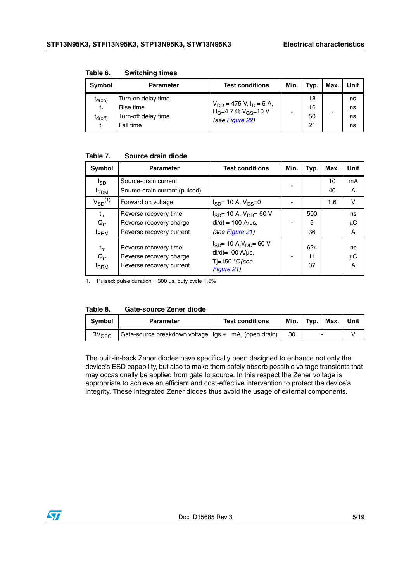| Symbol                                                | <b>Parameter</b>                                                    | <b>Test conditions</b>                                                                         | Min. | Typ.                 | Max. | Unit                 |
|-------------------------------------------------------|---------------------------------------------------------------------|------------------------------------------------------------------------------------------------|------|----------------------|------|----------------------|
| <sup>I</sup> d(on)<br>t,<br><sup>I</sup> d(off)<br>t. | Turn-on delay time<br>Rise time<br>Turn-off delay time<br>Fall time | $V_{DD}$ = 475 V, I <sub>D</sub> = 5 A,<br>$R_G = 4.7 \Omega V_{GS} = 10 V$<br>(see Figure 22) |      | 18<br>16<br>50<br>21 |      | ns<br>ns<br>ns<br>ns |

**Table 6. Switching times**

### **Table 7. Source drain diode**

| Symbol                                   | <b>Parameter</b>                                                             | <b>Test conditions</b>                                                                          | Min. | Typ.            | Max.     | Unit          |
|------------------------------------------|------------------------------------------------------------------------------|-------------------------------------------------------------------------------------------------|------|-----------------|----------|---------------|
| $I_{SD}$                                 | Source-drain current<br>Source-drain current (pulsed)                        |                                                                                                 |      |                 | 10<br>40 | mA<br>A       |
| <b>I</b> SDM<br>$V_{SD}$ <sup>(1)</sup>  | Forward on voltage                                                           | $I_{SD}$ = 10 A, $V_{GS}$ =0                                                                    |      |                 | 1.6      | v             |
| $t_{rr}$<br>$Q_{rr}$<br><b>I</b> RRM     | Reverse recovery time<br>Reverse recovery charge<br>Reverse recovery current | $I_{SD}$ = 10 A, $V_{DD}$ = 60 V<br>$di/dt = 100$ A/ $\mu$ s,<br>(see Figure 21)                |      | 500<br>9<br>36  |          | ns<br>μC<br>A |
| $t_{rr}$<br>$Q_{rr}$<br><sup>I</sup> RRM | Reverse recovery time<br>Reverse recovery charge<br>Reverse recovery current | $I_{SD}$ = 10 A, $V_{DD}$ = 60 V<br>$di/dt = 100$ A/ $\mu$ s,<br>Tj=150 $°C$ (see<br>Figure 21) |      | 624<br>11<br>37 |          | ns<br>μC<br>A |

1. Pulsed: pulse duration =  $300 \,\mu s$ , duty cycle  $1.5\%$ 

| Table 8. | <b>Gate-source Zener diode</b> |  |
|----------|--------------------------------|--|
|          |                                |  |

| <b>Symbol</b>           | <b>Parameter</b>                                        | <b>Test conditions</b> | Min. | Typ. | Max. | Unit |
|-------------------------|---------------------------------------------------------|------------------------|------|------|------|------|
| <b>BV<sub>GSO</sub></b> | Gate-source breakdown voltage   Igs ± 1mA, (open drain) |                        | 30   | -    |      |      |

The built-in-back Zener diodes have specifically been designed to enhance not only the device's ESD capability, but also to make them safely absorb possible voltage transients that may occasionally be applied from gate to source. In this respect the Zener voltage is appropriate to achieve an efficient and cost-effective intervention to protect the device's integrity. These integrated Zener diodes thus avoid the usage of external components.

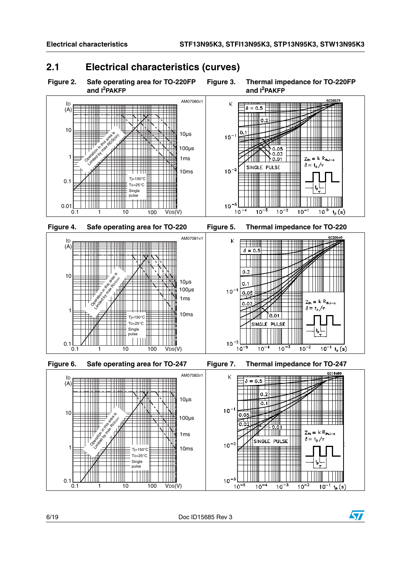### <span id="page-5-0"></span>**2.1 Electrical characteristics (curves)**

<span id="page-5-1"></span>

<span id="page-5-2"></span>**Figure 3. Thermal impedance for TO-220FP and I2PAKFP**



 $10^{-3}$  $10^{-5}$ 

 $\frac{1}{10^{-3}}$ 

 $10^{-2}$ 

 $10^{-1}$  t<sub>p</sub> $(s)$ 

 $10^{-4}$ 

 $0.1$ <sub>0.1</sub>

1 10 100 VDS(V)

 $Tc = 25^\circ C$ Single pulse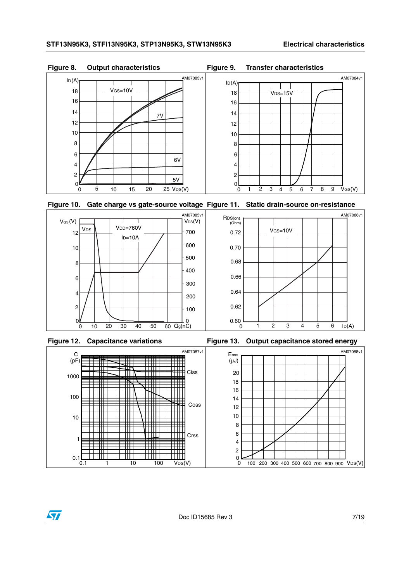AM07086v1









Figure 12. Capacitance variations **Figure 13. Output capacitance stored energy** 

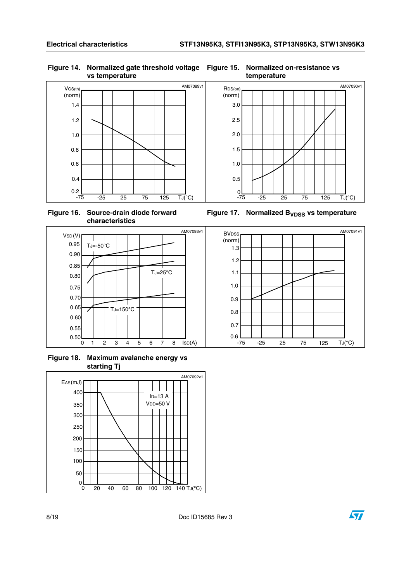#### **Figure 14. Normalized gate threshold voltage vs temperature**



**Figure 16. Source-drain diode forward characteristics**



**Figure 18. Maximum avalanche energy vs starting Tj**



#### **Figure 15. Normalized on-resistance vs temperature**



Figure 17. Normalized B<sub>VDSS</sub> vs temperature



 $\bm{\varpi}$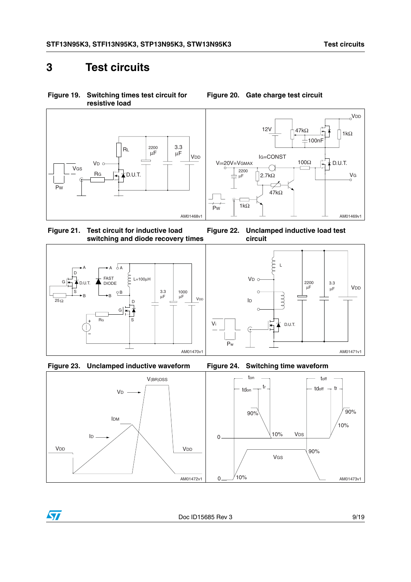### <span id="page-8-0"></span>**3 Test circuits**

**Figure 19. Switching times test circuit for resistive load**





<span id="page-8-3"></span>







#### VDD 12V  $47k\Omega$   $\frac{1}{4}$  1kΩ 100nF IG=CONST 100Ω Vi=20V=VGMAX  $\frac{1}{1}$  D.U.T. ⊖ 2200

<span id="page-8-1"></span>**Figure 20. Gate charge test circuit**



<span id="page-8-2"></span>**Figure 22. Unclamped inductive load test circuit**





 $\bm{\nabla}$ 

 $\frac{1}{90\%}$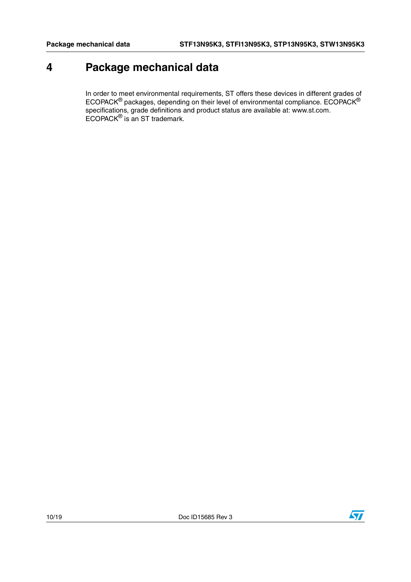### <span id="page-9-0"></span>**4 Package mechanical data**

In order to meet environmental requirements, ST offers these devices in different grades of ECOPACK $^{\circledR}$  packages, depending on their level of environmental compliance. ECOPACK $^{\circledR}$ specifications, grade definitions and product status are available at: www.st.com. ECOPACK® is an ST trademark.

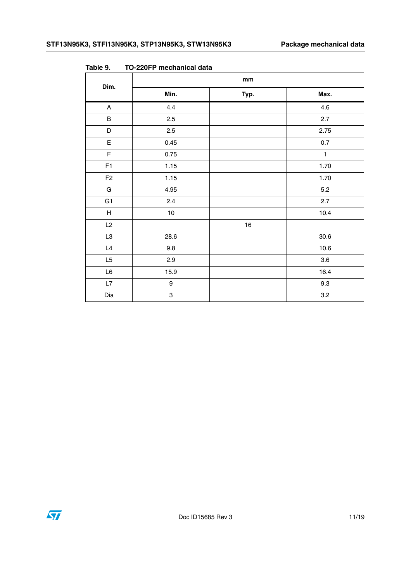| Dim.                      | $\mathop{\mathsf{mm}}\nolimits$ |      |              |
|---------------------------|---------------------------------|------|--------------|
|                           | Min.                            | Typ. | Max.         |
| $\boldsymbol{\mathsf{A}}$ | 4.4                             |      | 4.6          |
| $\sf B$                   | 2.5                             |      | 2.7          |
| D                         | 2.5                             |      | 2.75         |
| E                         | 0.45                            |      | $0.7\,$      |
| $\mathsf F$               | 0.75                            |      | $\mathbf{1}$ |
| F1                        | 1.15                            |      | 1.70         |
| F <sub>2</sub>            | 1.15                            |      | 1.70         |
| ${\mathsf G}$             | 4.95                            |      | $5.2\,$      |
| G <sub>1</sub>            | 2.4                             |      | 2.7          |
| $\boldsymbol{\mathsf{H}}$ | $10$                            |      | 10.4         |
| L2                        |                                 | $16$ |              |
| L3                        | 28.6                            |      | 30.6         |
| L4                        | $9.8\,$                         |      | $10.6$       |
| L5                        | 2.9                             |      | $3.6\,$      |
| $\mathsf{L6}$             | 15.9                            |      | 16.4         |
| L7                        | $\boldsymbol{9}$                |      | 9.3          |
| Dia                       | $\ensuremath{\mathsf{3}}$       |      | $3.2\,$      |

**Table 9. TO-220FP mechanical data**

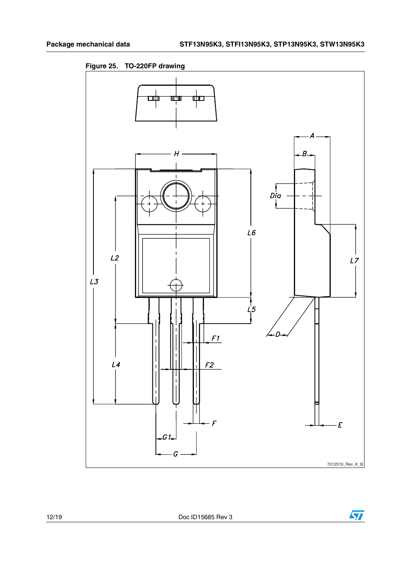**Figure 25. TO-220FP drawing**

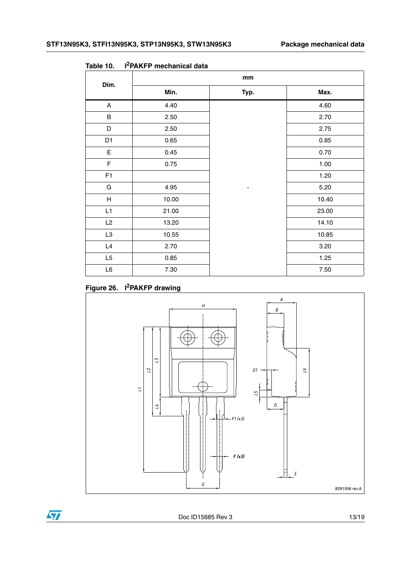| Dim.           | mm    |      |       |  |
|----------------|-------|------|-------|--|
|                | Min.  | Typ. | Max.  |  |
| A              | 4.40  |      | 4.60  |  |
| $\sf B$        | 2.50  |      | 2.70  |  |
| D              | 2.50  |      | 2.75  |  |
| D <sub>1</sub> | 0.65  |      | 0.85  |  |
| E              | 0.45  |      | 0.70  |  |
| F              | 0.75  |      | 1.00  |  |
| F <sub>1</sub> |       |      | 1.20  |  |
| G              | 4.95  |      | 5.20  |  |
| H              | 10.00 |      | 10.40 |  |
| L1             | 21.00 |      | 23.00 |  |
| L2             | 13.20 |      | 14.10 |  |
| L3             | 10.55 |      | 10.85 |  |
| L4             | 2.70  |      | 3.20  |  |
| L <sub>5</sub> | 0.85  |      | 1.25  |  |
| $\mathsf{L6}$  | 7.30  |      | 7.50  |  |

<span id="page-12-0"></span>**Table 10. I2PAKFP mechanical data**

### <span id="page-12-1"></span>**Figure 26. I2PAKFP drawing**



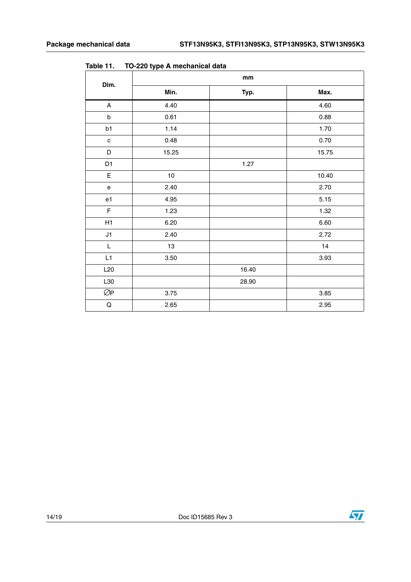|                                                                                                             | mm       |       |          |
|-------------------------------------------------------------------------------------------------------------|----------|-------|----------|
| Dim.                                                                                                        | Min.     | Typ.  | Max.     |
| $\boldsymbol{\mathsf{A}}$                                                                                   | 4.40     |       | 4.60     |
| $\sf b$                                                                                                     | 0.61     |       | 0.88     |
| b1                                                                                                          | 1.14     |       | 1.70     |
| $\mathbf c$                                                                                                 | 0.48     |       | 0.70     |
| D                                                                                                           | 15.25    |       | 15.75    |
| D1                                                                                                          |          | 1.27  |          |
| $\mathsf E$                                                                                                 | $10\,$   |       | 10.40    |
| e                                                                                                           | 2.40     |       | 2.70     |
| e1                                                                                                          | 4.95     |       | 5.15     |
| $\mathsf F$                                                                                                 | 1.23     |       | 1.32     |
| H1                                                                                                          | 6.20     |       | 6.60     |
| J1                                                                                                          | 2.40     |       | 2.72     |
| $\mathsf{L}% _{0}\left( \mathsf{L}_{0}\right) ^{\ast }=\mathsf{L}_{0}\left( \mathsf{L}_{0}\right) ^{\ast }$ | 13       |       | 14       |
| L1                                                                                                          | $3.50\,$ |       | 3.93     |
| L20                                                                                                         |          | 16.40 |          |
| L30                                                                                                         |          | 28.90 |          |
| ØP                                                                                                          | 3.75     |       | $3.85\,$ |
| ${\sf Q}$                                                                                                   | 2.65     |       | 2.95     |

**Table 11. TO-220 type A mechanical data**

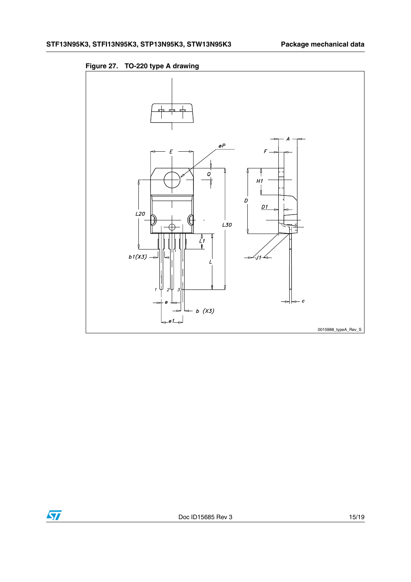

**Figure 27. TO-220 type A drawing**

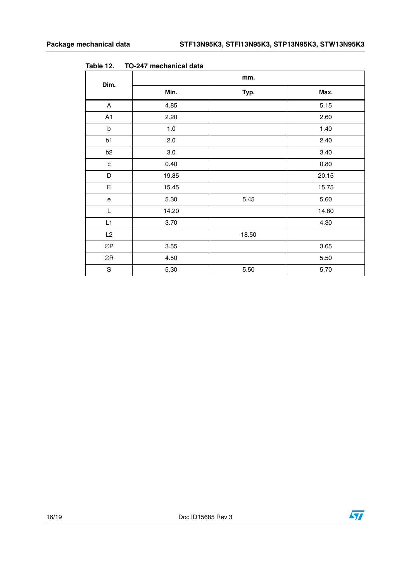| Dim.                                       | mm.   |       |       |  |
|--------------------------------------------|-------|-------|-------|--|
|                                            | Min.  | Typ.  | Max.  |  |
| Α                                          | 4.85  |       | 5.15  |  |
| A1                                         | 2.20  |       | 2.60  |  |
| $\sf b$                                    | 1.0   |       | 1.40  |  |
| b1                                         | 2.0   |       | 2.40  |  |
| b <sub>2</sub>                             | 3.0   |       | 3.40  |  |
| ${\bf c}$                                  | 0.40  |       | 0.80  |  |
| $\mathsf D$                                | 19.85 |       | 20.15 |  |
| E                                          | 15.45 |       | 15.75 |  |
| $\mathsf{e}% _{0}\left( \mathsf{e}\right)$ | 5.30  | 5.45  | 5.60  |  |
| L                                          | 14.20 |       | 14.80 |  |
| L1                                         | 3.70  |       | 4.30  |  |
| L2                                         |       | 18.50 |       |  |
| ØP                                         | 3.55  |       | 3.65  |  |
| ØR                                         | 4.50  |       | 5.50  |  |
| $\mathbf S$                                | 5.30  | 5.50  | 5.70  |  |

**Table 12. TO-247 mechanical data**



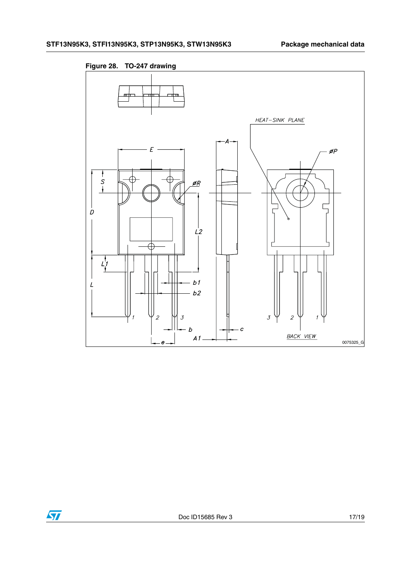

**Figure 28. TO-247 drawing**

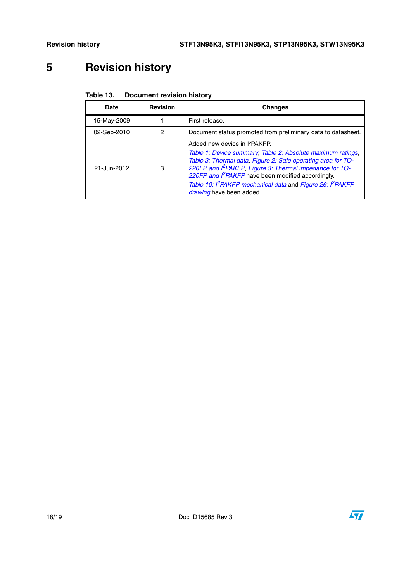# <span id="page-17-0"></span>**5 Revision history**

| Table 13. | <b>Document revision history</b> |
|-----------|----------------------------------|
|-----------|----------------------------------|

| <b>Date</b> | <b>Revision</b> | <b>Changes</b>                                                                                                                                                                                                                                                                                                                                                              |
|-------------|-----------------|-----------------------------------------------------------------------------------------------------------------------------------------------------------------------------------------------------------------------------------------------------------------------------------------------------------------------------------------------------------------------------|
| 15-May-2009 |                 | First release.                                                                                                                                                                                                                                                                                                                                                              |
| 02-Sep-2010 | 2               | Document status promoted from preliminary data to datasheet.                                                                                                                                                                                                                                                                                                                |
| 21-Jun-2012 | 3               | Added new device in I <sup>2</sup> PAKFP.<br>Table 1: Device summary, Table 2: Absolute maximum ratings,<br>Table 3: Thermal data, Figure 2: Safe operating area for TO-<br>220FP and PPAKFP, Figure 3: Thermal impedance for TO-<br>220FP and PPAKFP have been modified accordingly.<br>Table 10: PPAKFP mechanical data and Figure 26: PPAKFP<br>drawing have been added. |